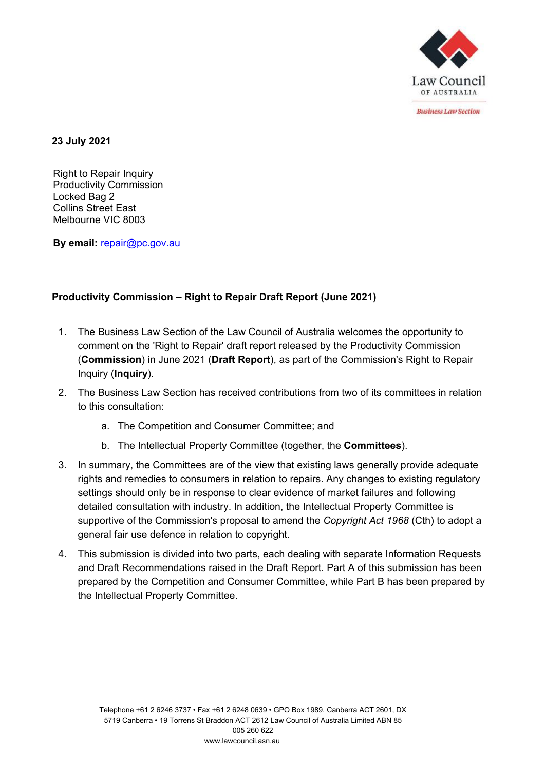

**Business Law Section** 

**23 July 2021**

Right to Repair Inquiry Productivity Commission Locked Bag 2 Collins Street East Melbourne VIC 8003

**By email:** repair@pc.gov.au

## **Productivity Commission – Right to Repair Draft Report (June 2021)**

- 1. The Business Law Section of the Law Council of Australia welcomes the opportunity to comment on the 'Right to Repair' draft report released by the Productivity Commission (**Commission**) in June 2021 (**Draft Report**), as part of the Commission's Right to Repair Inquiry (**Inquiry**).
- 2. The Business Law Section has received contributions from two of its committees in relation to this consultation:
	- a. The Competition and Consumer Committee; and
	- b. The Intellectual Property Committee (together, the **Committees**).
- 3. In summary, the Committees are of the view that existing laws generally provide adequate rights and remedies to consumers in relation to repairs. Any changes to existing regulatory settings should only be in response to clear evidence of market failures and following detailed consultation with industry. In addition, the Intellectual Property Committee is supportive of the Commission's proposal to amend the *Copyright Act 1968* (Cth) to adopt a general fair use defence in relation to copyright.
- 4. This submission is divided into two parts, each dealing with separate Information Requests and Draft Recommendations raised in the Draft Report. Part A of this submission has been prepared by the Competition and Consumer Committee, while Part B has been prepared by the Intellectual Property Committee.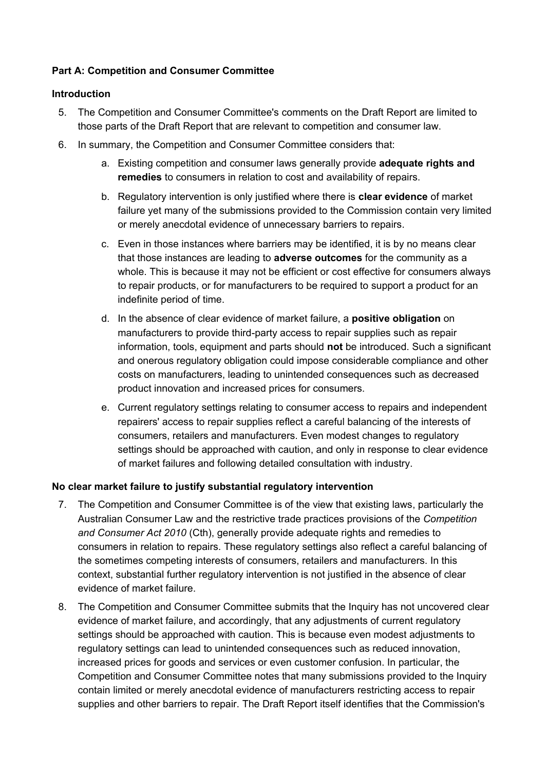## **Part A: Competition and Consumer Committee**

### **Introduction**

- 5. The Competition and Consumer Committee's comments on the Draft Report are limited to those parts of the Draft Report that are relevant to competition and consumer law.
- 6. In summary, the Competition and Consumer Committee considers that:
	- a. Existing competition and consumer laws generally provide **adequate rights and remedies** to consumers in relation to cost and availability of repairs.
	- b. Regulatory intervention is only justified where there is **clear evidence** of market failure yet many of the submissions provided to the Commission contain very limited or merely anecdotal evidence of unnecessary barriers to repairs.
	- c. Even in those instances where barriers may be identified, it is by no means clear that those instances are leading to **adverse outcomes** for the community as a whole. This is because it may not be efficient or cost effective for consumers always to repair products, or for manufacturers to be required to support a product for an indefinite period of time.
	- d. In the absence of clear evidence of market failure, a **positive obligation** on manufacturers to provide third-party access to repair supplies such as repair information, tools, equipment and parts should **not** be introduced. Such a significant and onerous regulatory obligation could impose considerable compliance and other costs on manufacturers, leading to unintended consequences such as decreased product innovation and increased prices for consumers.
	- e. Current regulatory settings relating to consumer access to repairs and independent repairers' access to repair supplies reflect a careful balancing of the interests of consumers, retailers and manufacturers. Even modest changes to regulatory settings should be approached with caution, and only in response to clear evidence of market failures and following detailed consultation with industry.

### **No clear market failure to justify substantial regulatory intervention**

- 7. The Competition and Consumer Committee is of the view that existing laws, particularly the Australian Consumer Law and the restrictive trade practices provisions of the *Competition and Consumer Act 2010* (Cth), generally provide adequate rights and remedies to consumers in relation to repairs. These regulatory settings also reflect a careful balancing of the sometimes competing interests of consumers, retailers and manufacturers. In this context, substantial further regulatory intervention is not justified in the absence of clear evidence of market failure.
- 8. The Competition and Consumer Committee submits that the Inquiry has not uncovered clear evidence of market failure, and accordingly, that any adjustments of current regulatory settings should be approached with caution. This is because even modest adjustments to regulatory settings can lead to unintended consequences such as reduced innovation, increased prices for goods and services or even customer confusion. In particular, the Competition and Consumer Committee notes that many submissions provided to the Inquiry contain limited or merely anecdotal evidence of manufacturers restricting access to repair supplies and other barriers to repair. The Draft Report itself identifies that the Commission's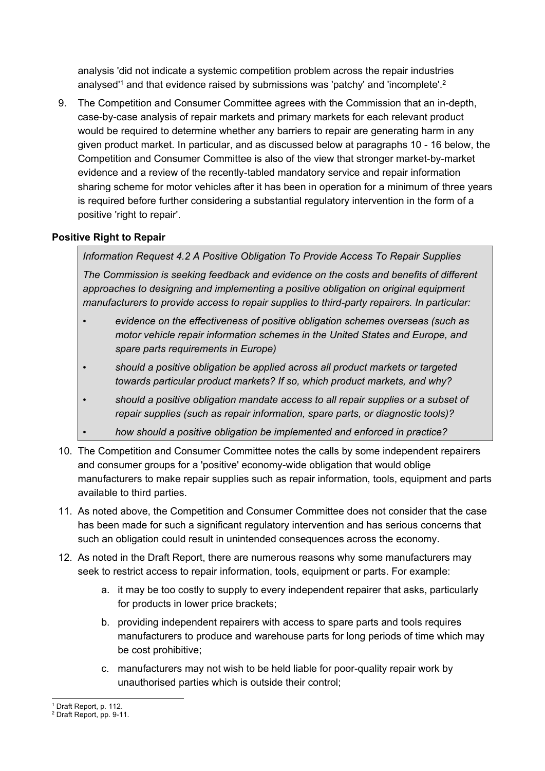analysis 'did not indicate a systemic competition problem across the repair industries analysed<sup>11</sup> and that evidence raised by submissions was 'patchy' and 'incomplete'.<sup>2</sup>

9. The Competition and Consumer Committee agrees with the Commission that an in-depth, case-by-case analysis of repair markets and primary markets for each relevant product would be required to determine whether any barriers to repair are generating harm in any given product market. In particular, and as discussed below at paragraphs 10 - 16 below, the Competition and Consumer Committee is also of the view that stronger market-by-market evidence and a review of the recently-tabled mandatory service and repair information sharing scheme for motor vehicles after it has been in operation for a minimum of three years is required before further considering a substantial regulatory intervention in the form of a positive 'right to repair'.

# **Positive Right to Repair**

*Information Request 4.2 A Positive Obligation To Provide Access To Repair Supplies*

*The Commission is seeking feedback and evidence on the costs and benefits of different approaches to designing and implementing a positive obligation on original equipment manufacturers to provide access to repair supplies to third-party repairers. In particular:*

- *evidence on the effectiveness of positive obligation schemes overseas (such as motor vehicle repair information schemes in the United States and Europe, and spare parts requirements in Europe)*
- *should a positive obligation be applied across all product markets or targeted towards particular product markets? If so, which product markets, and why?*
- *should a positive obligation mandate access to all repair supplies or a subset of repair supplies (such as repair information, spare parts, or diagnostic tools)?*
- *how should a positive obligation be implemented and enforced in practice?*
- 10. The Competition and Consumer Committee notes the calls by some independent repairers and consumer groups for a 'positive' economy-wide obligation that would oblige manufacturers to make repair supplies such as repair information, tools, equipment and parts available to third parties.
- 11. As noted above, the Competition and Consumer Committee does not consider that the case has been made for such a significant regulatory intervention and has serious concerns that such an obligation could result in unintended consequences across the economy.
- 12. As noted in the Draft Report, there are numerous reasons why some manufacturers may seek to restrict access to repair information, tools, equipment or parts. For example:
	- a. it may be too costly to supply to every independent repairer that asks, particularly for products in lower price brackets;
	- b. providing independent repairers with access to spare parts and tools requires manufacturers to produce and warehouse parts for long periods of time which may be cost prohibitive;
	- c. manufacturers may not wish to be held liable for poor-quality repair work by unauthorised parties which is outside their control;

<sup>1</sup> Draft Report, p. 112.

<sup>2</sup> Draft Report, pp. 9-11.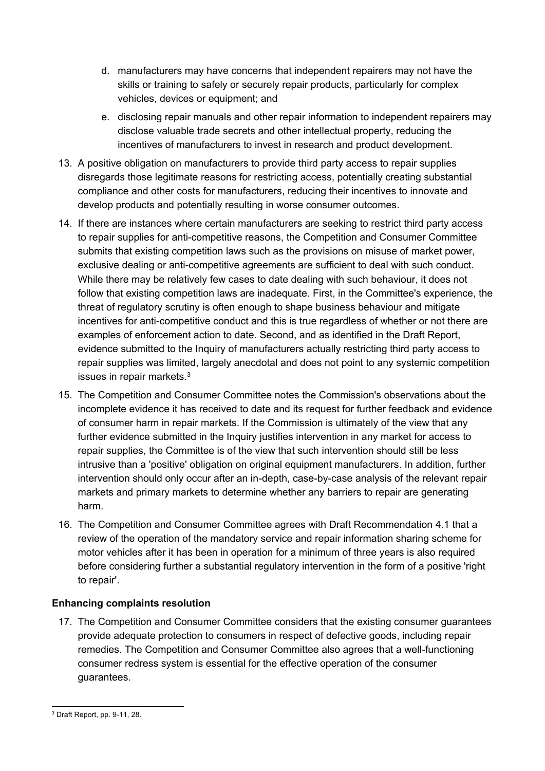- d. manufacturers may have concerns that independent repairers may not have the skills or training to safely or securely repair products, particularly for complex vehicles, devices or equipment; and
- e. disclosing repair manuals and other repair information to independent repairers may disclose valuable trade secrets and other intellectual property, reducing the incentives of manufacturers to invest in research and product development.
- 13. A positive obligation on manufacturers to provide third party access to repair supplies disregards those legitimate reasons for restricting access, potentially creating substantial compliance and other costs for manufacturers, reducing their incentives to innovate and develop products and potentially resulting in worse consumer outcomes.
- 14. If there are instances where certain manufacturers are seeking to restrict third party access to repair supplies for anti-competitive reasons, the Competition and Consumer Committee submits that existing competition laws such as the provisions on misuse of market power, exclusive dealing or anti-competitive agreements are sufficient to deal with such conduct. While there may be relatively few cases to date dealing with such behaviour, it does not follow that existing competition laws are inadequate. First, in the Committee's experience, the threat of regulatory scrutiny is often enough to shape business behaviour and mitigate incentives for anti-competitive conduct and this is true regardless of whether or not there are examples of enforcement action to date. Second, and as identified in the Draft Report, evidence submitted to the Inquiry of manufacturers actually restricting third party access to repair supplies was limited, largely anecdotal and does not point to any systemic competition issues in repair markets. 3
- 15. The Competition and Consumer Committee notes the Commission's observations about the incomplete evidence it has received to date and its request for further feedback and evidence of consumer harm in repair markets. If the Commission is ultimately of the view that any further evidence submitted in the Inquiry justifies intervention in any market for access to repair supplies, the Committee is of the view that such intervention should still be less intrusive than a 'positive' obligation on original equipment manufacturers. In addition, further intervention should only occur after an in-depth, case-by-case analysis of the relevant repair markets and primary markets to determine whether any barriers to repair are generating harm.
- 16. The Competition and Consumer Committee agrees with Draft Recommendation 4.1 that a review of the operation of the mandatory service and repair information sharing scheme for motor vehicles after it has been in operation for a minimum of three years is also required before considering further a substantial regulatory intervention in the form of a positive 'right to repair'.

# **Enhancing complaints resolution**

17. The Competition and Consumer Committee considers that the existing consumer guarantees provide adequate protection to consumers in respect of defective goods, including repair remedies. The Competition and Consumer Committee also agrees that a well-functioning consumer redress system is essential for the effective operation of the consumer guarantees.

<sup>3</sup> Draft Report, pp. 9-11, 28.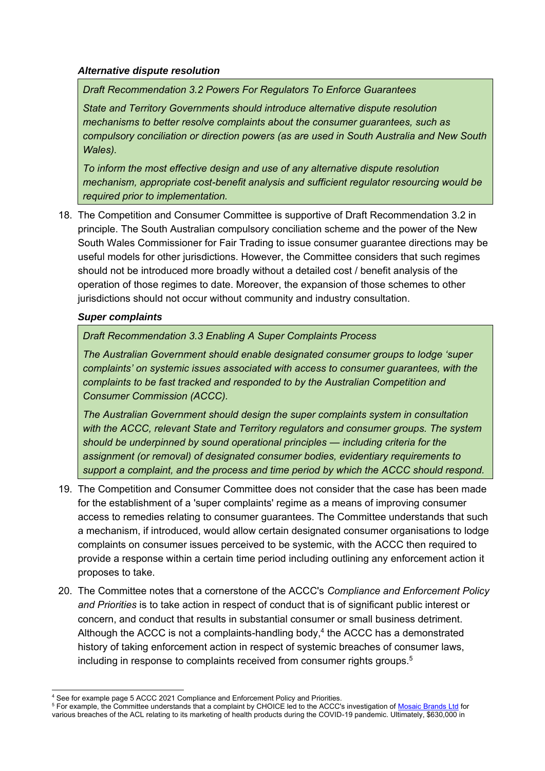### *Alternative dispute resolution*

*Draft Recommendation 3.2 Powers For Regulators To Enforce Guarantees* 

*State and Territory Governments should introduce alternative dispute resolution mechanisms to better resolve complaints about the consumer guarantees, such as compulsory conciliation or direction powers (as are used in South Australia and New South Wales).* 

*To inform the most effective design and use of any alternative dispute resolution mechanism, appropriate cost-benefit analysis and sufficient regulator resourcing would be required prior to implementation.*

18. The Competition and Consumer Committee is supportive of Draft Recommendation 3.2 in principle. The South Australian compulsory conciliation scheme and the power of the New South Wales Commissioner for Fair Trading to issue consumer guarantee directions may be useful models for other jurisdictions. However, the Committee considers that such regimes should not be introduced more broadly without a detailed cost / benefit analysis of the operation of those regimes to date. Moreover, the expansion of those schemes to other jurisdictions should not occur without community and industry consultation.

### *Super complaints*

*Draft Recommendation 3.3 Enabling A Super Complaints Process*

*The Australian Government should enable designated consumer groups to lodge 'super complaints' on systemic issues associated with access to consumer guarantees, with the complaints to be fast tracked and responded to by the Australian Competition and Consumer Commission (ACCC).*

*The Australian Government should design the super complaints system in consultation with the ACCC, relevant State and Territory regulators and consumer groups. The system should be underpinned by sound operational principles — including criteria for the assignment (or removal) of designated consumer bodies, evidentiary requirements to support a complaint, and the process and time period by which the ACCC should respond.* 

- 19. The Competition and Consumer Committee does not consider that the case has been made for the establishment of a 'super complaints' regime as a means of improving consumer access to remedies relating to consumer guarantees. The Committee understands that such a mechanism, if introduced, would allow certain designated consumer organisations to lodge complaints on consumer issues perceived to be systemic, with the ACCC then required to provide a response within a certain time period including outlining any enforcement action it proposes to take.
- 20. The Committee notes that a cornerstone of the ACCC's *Compliance and Enforcement Policy and Priorities* is to take action in respect of conduct that is of significant public interest or concern, and conduct that results in substantial consumer or small business detriment. Although the ACCC is not a complaints-handling body,<sup>4</sup> the ACCC has a demonstrated history of taking enforcement action in respect of systemic breaches of consumer laws, including in response to complaints received from consumer rights groups.<sup>5</sup>

<sup>4</sup> See for example page 5 ACCC 2021 Compliance and Enforcement Policy and Priorities.

<sup>&</sup>lt;sup>5</sup> For example, the Committee understands that a complaint by CHOICE led to the ACCC's investigation of Mosaic Brands Ltd for various breaches of the ACL relating to its marketing of health products during the COVID-19 pandemic. Ultimately, \$630,000 in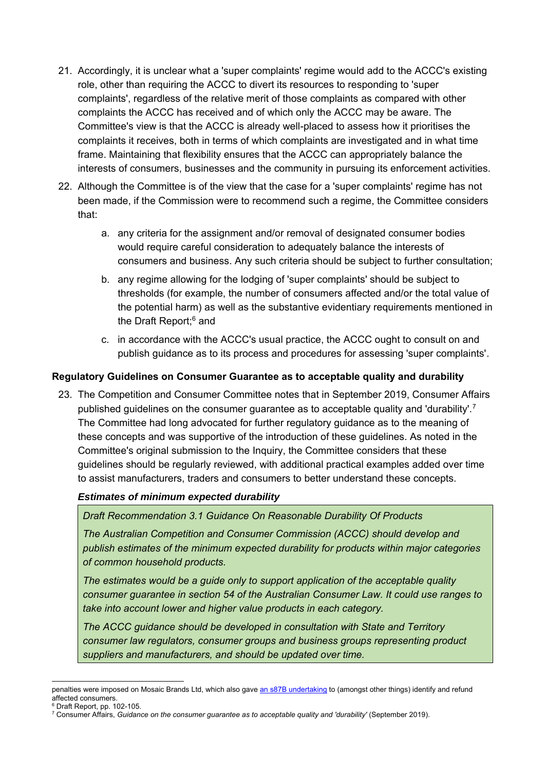- 21. Accordingly, it is unclear what a 'super complaints' regime would add to the ACCC's existing role, other than requiring the ACCC to divert its resources to responding to 'super complaints', regardless of the relative merit of those complaints as compared with other complaints the ACCC has received and of which only the ACCC may be aware. The Committee's view is that the ACCC is already well-placed to assess how it prioritises the complaints it receives, both in terms of which complaints are investigated and in what time frame. Maintaining that flexibility ensures that the ACCC can appropriately balance the interests of consumers, businesses and the community in pursuing its enforcement activities.
- 22. Although the Committee is of the view that the case for a 'super complaints' regime has not been made, if the Commission were to recommend such a regime, the Committee considers that:
	- a. any criteria for the assignment and/or removal of designated consumer bodies would require careful consideration to adequately balance the interests of consumers and business. Any such criteria should be subject to further consultation;
	- b. any regime allowing for the lodging of 'super complaints' should be subject to thresholds (for example, the number of consumers affected and/or the total value of the potential harm) as well as the substantive evidentiary requirements mentioned in the Draft Report;<sup>6</sup> and
	- c. in accordance with the ACCC's usual practice, the ACCC ought to consult on and publish guidance as to its process and procedures for assessing 'super complaints'.

# **Regulatory Guidelines on Consumer Guarantee as to acceptable quality and durability**

23. The Competition and Consumer Committee notes that in September 2019, Consumer Affairs published guidelines on the consumer guarantee as to acceptable quality and 'durability'.<sup>7</sup> The Committee had long advocated for further regulatory guidance as to the meaning of these concepts and was supportive of the introduction of these guidelines. As noted in the Committee's original submission to the Inquiry, the Committee considers that these guidelines should be regularly reviewed, with additional practical examples added over time to assist manufacturers, traders and consumers to better understand these concepts.

# *Estimates of minimum expected durability*

*Draft Recommendation 3.1 Guidance On Reasonable Durability Of Products* 

*The Australian Competition and Consumer Commission (ACCC) should develop and publish estimates of the minimum expected durability for products within major categories of common household products.*

*The estimates would be a guide only to support application of the acceptable quality consumer guarantee in section 54 of the Australian Consumer Law. It could use ranges to take into account lower and higher value products in each category.* 

*The ACCC guidance should be developed in consultation with State and Territory consumer law regulators, consumer groups and business groups representing product suppliers and manufacturers, and should be updated over time.* 

penalties were imposed on Mosaic Brands Ltd, which also gave an s87B undertaking to (amongst other things) identify and refund affected consumers.

<sup>6</sup> Draft Report, pp. 102-105.

<sup>7</sup> Consumer Affairs, *Guidance on the consumer guarantee as to acceptable quality and 'durability'* (September 2019).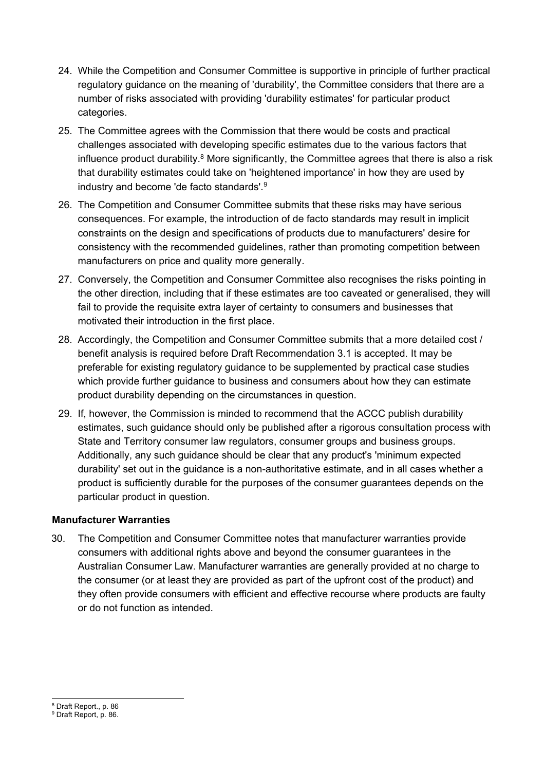- 24. While the Competition and Consumer Committee is supportive in principle of further practical regulatory guidance on the meaning of 'durability', the Committee considers that there are a number of risks associated with providing 'durability estimates' for particular product categories.
- 25. The Committee agrees with the Commission that there would be costs and practical challenges associated with developing specific estimates due to the various factors that influence product durability.<sup>8</sup> More significantly, the Committee agrees that there is also a risk that durability estimates could take on 'heightened importance' in how they are used by industry and become 'de facto standards'.<sup>9</sup>
- 26. The Competition and Consumer Committee submits that these risks may have serious consequences. For example, the introduction of de facto standards may result in implicit constraints on the design and specifications of products due to manufacturers' desire for consistency with the recommended guidelines, rather than promoting competition between manufacturers on price and quality more generally.
- 27. Conversely, the Competition and Consumer Committee also recognises the risks pointing in the other direction, including that if these estimates are too caveated or generalised, they will fail to provide the requisite extra layer of certainty to consumers and businesses that motivated their introduction in the first place.
- 28. Accordingly, the Competition and Consumer Committee submits that a more detailed cost / benefit analysis is required before Draft Recommendation 3.1 is accepted. It may be preferable for existing regulatory guidance to be supplemented by practical case studies which provide further guidance to business and consumers about how they can estimate product durability depending on the circumstances in question.
- 29. If, however, the Commission is minded to recommend that the ACCC publish durability estimates, such guidance should only be published after a rigorous consultation process with State and Territory consumer law regulators, consumer groups and business groups. Additionally, any such guidance should be clear that any product's 'minimum expected durability' set out in the guidance is a non-authoritative estimate, and in all cases whether a product is sufficiently durable for the purposes of the consumer guarantees depends on the particular product in question.

#### **Manufacturer Warranties**

30. The Competition and Consumer Committee notes that manufacturer warranties provide consumers with additional rights above and beyond the consumer guarantees in the Australian Consumer Law. Manufacturer warranties are generally provided at no charge to the consumer (or at least they are provided as part of the upfront cost of the product) and they often provide consumers with efficient and effective recourse where products are faulty or do not function as intended.

<sup>8</sup> Draft Report., p. 86

<sup>9</sup> Draft Report, p. 86.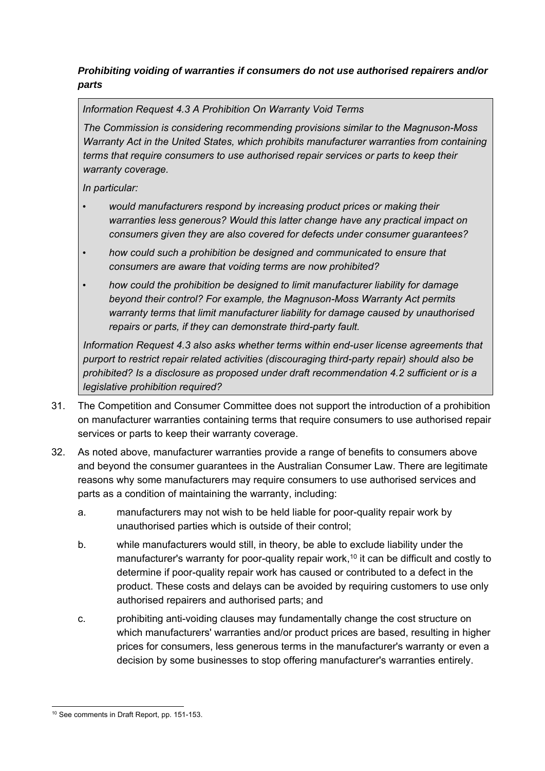# *Prohibiting voiding of warranties if consumers do not use authorised repairers and/or parts*

*Information Request 4.3 A Prohibition On Warranty Void Terms*

*The Commission is considering recommending provisions similar to the Magnuson-Moss Warranty Act in the United States, which prohibits manufacturer warranties from containing terms that require consumers to use authorised repair services or parts to keep their warranty coverage.* 

*In particular:*

- *would manufacturers respond by increasing product prices or making their warranties less generous? Would this latter change have any practical impact on consumers given they are also covered for defects under consumer guarantees?*
- *how could such a prohibition be designed and communicated to ensure that consumers are aware that voiding terms are now prohibited?*
- *how could the prohibition be designed to limit manufacturer liability for damage beyond their control? For example, the Magnuson-Moss Warranty Act permits warranty terms that limit manufacturer liability for damage caused by unauthorised repairs or parts, if they can demonstrate third-party fault.*

*Information Request 4.3 also asks whether terms within end-user license agreements that purport to restrict repair related activities (discouraging third-party repair) should also be prohibited? Is a disclosure as proposed under draft recommendation 4.2 sufficient or is a legislative prohibition required?*

- 31. The Competition and Consumer Committee does not support the introduction of a prohibition on manufacturer warranties containing terms that require consumers to use authorised repair services or parts to keep their warranty coverage.
- 32. As noted above, manufacturer warranties provide a range of benefits to consumers above and beyond the consumer guarantees in the Australian Consumer Law. There are legitimate reasons why some manufacturers may require consumers to use authorised services and parts as a condition of maintaining the warranty, including:
	- a. manufacturers may not wish to be held liable for poor-quality repair work by unauthorised parties which is outside of their control;
	- b. while manufacturers would still, in theory, be able to exclude liability under the manufacturer's warranty for poor-quality repair work,<sup>10</sup> it can be difficult and costly to determine if poor-quality repair work has caused or contributed to a defect in the product. These costs and delays can be avoided by requiring customers to use only authorised repairers and authorised parts; and
	- c. prohibiting anti-voiding clauses may fundamentally change the cost structure on which manufacturers' warranties and/or product prices are based, resulting in higher prices for consumers, less generous terms in the manufacturer's warranty or even a decision by some businesses to stop offering manufacturer's warranties entirely.

<sup>&</sup>lt;sup>10</sup> See comments in Draft Report, pp. 151-153.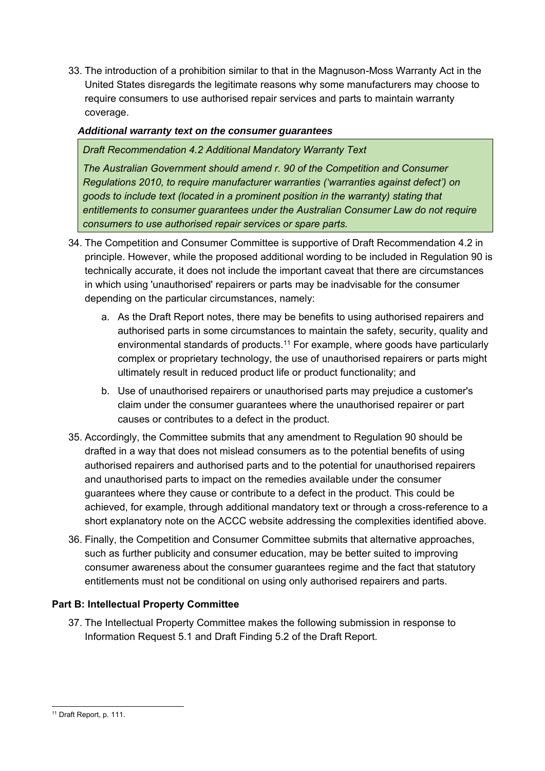33. The introduction of a prohibition similar to that in the Magnuson-Moss Warranty Act in the United States disregards the legitimate reasons why some manufacturers may choose to require consumers to use authorised repair services and parts to maintain warranty coverage.

## *Additional warranty text on the consumer guarantees*

*Draft Recommendation 4.2 Additional Mandatory Warranty Text*

*The Australian Government should amend r. 90 of the Competition and Consumer Regulations 2010, to require manufacturer warranties ('warranties against defect') on goods to include text (located in a prominent position in the warranty) stating that entitlements to consumer guarantees under the Australian Consumer Law do not require consumers to use authorised repair services or spare parts.*

- 34. The Competition and Consumer Committee is supportive of Draft Recommendation 4.2 in principle. However, while the proposed additional wording to be included in Regulation 90 is technically accurate, it does not include the important caveat that there are circumstances in which using 'unauthorised' repairers or parts may be inadvisable for the consumer depending on the particular circumstances, namely:
	- a. As the Draft Report notes, there may be benefits to using authorised repairers and authorised parts in some circumstances to maintain the safety, security, quality and environmental standards of products.<sup>11</sup> For example, where goods have particularly complex or proprietary technology, the use of unauthorised repairers or parts might ultimately result in reduced product life or product functionality; and
	- b. Use of unauthorised repairers or unauthorised parts may prejudice a customer's claim under the consumer guarantees where the unauthorised repairer or part causes or contributes to a defect in the product.
- 35. Accordingly, the Committee submits that any amendment to Regulation 90 should be drafted in a way that does not mislead consumers as to the potential benefits of using authorised repairers and authorised parts and to the potential for unauthorised repairers and unauthorised parts to impact on the remedies available under the consumer guarantees where they cause or contribute to a defect in the product. This could be achieved, for example, through additional mandatory text or through a cross-reference to a short explanatory note on the ACCC website addressing the complexities identified above.
- 36. Finally, the Competition and Consumer Committee submits that alternative approaches, such as further publicity and consumer education, may be better suited to improving consumer awareness about the consumer guarantees regime and the fact that statutory entitlements must not be conditional on using only authorised repairers and parts.

### **Part B: Intellectual Property Committee**

37. The Intellectual Property Committee makes the following submission in response to Information Request 5.1 and Draft Finding 5.2 of the Draft Report.

<sup>11</sup> Draft Report, p. 111.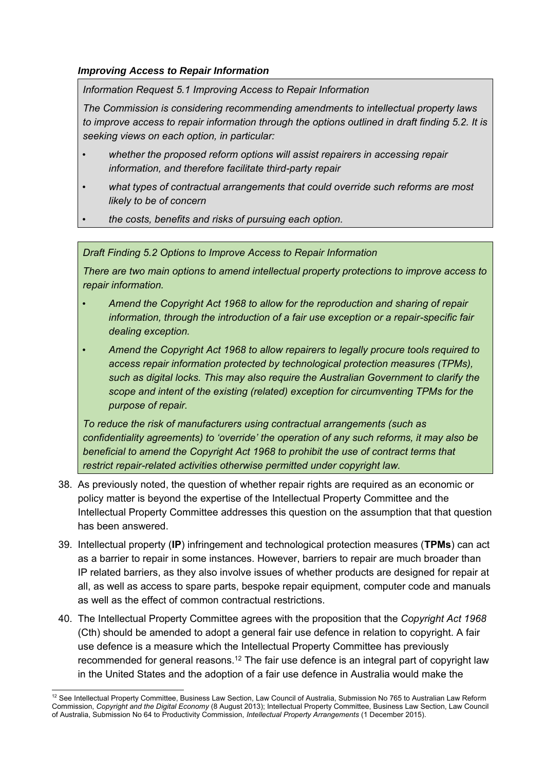### *Improving Access to Repair Information*

*Information Request 5.1 Improving Access to Repair Information*

*The Commission is considering recommending amendments to intellectual property laws to improve access to repair information through the options outlined in draft finding 5.2. It is seeking views on each option, in particular:*

- *whether the proposed reform options will assist repairers in accessing repair information, and therefore facilitate third-party repair*
- *what types of contractual arrangements that could override such reforms are most likely to be of concern*
- *the costs, benefits and risks of pursuing each option.*

#### *Draft Finding 5.2 Options to Improve Access to Repair Information*

*There are two main options to amend intellectual property protections to improve access to repair information.*

- *Amend the Copyright Act 1968 to allow for the reproduction and sharing of repair information, through the introduction of a fair use exception or a repair-specific fair dealing exception.*
- *Amend the Copyright Act 1968 to allow repairers to legally procure tools required to access repair information protected by technological protection measures (TPMs), such as digital locks. This may also require the Australian Government to clarify the scope and intent of the existing (related) exception for circumventing TPMs for the purpose of repair.*

*To reduce the risk of manufacturers using contractual arrangements (such as confidentiality agreements) to 'override' the operation of any such reforms, it may also be beneficial to amend the Copyright Act 1968 to prohibit the use of contract terms that restrict repair-related activities otherwise permitted under copyright law.*

- 38. As previously noted, the question of whether repair rights are required as an economic or policy matter is beyond the expertise of the Intellectual Property Committee and the Intellectual Property Committee addresses this question on the assumption that that question has been answered.
- 39. Intellectual property (**IP**) infringement and technological protection measures (**TPMs**) can act as a barrier to repair in some instances. However, barriers to repair are much broader than IP related barriers, as they also involve issues of whether products are designed for repair at all, as well as access to spare parts, bespoke repair equipment, computer code and manuals as well as the effect of common contractual restrictions.
- 40. The Intellectual Property Committee agrees with the proposition that the *Copyright Act 1968* (Cth) should be amended to adopt a general fair use defence in relation to copyright. A fair use defence is a measure which the Intellectual Property Committee has previously recommended for general reasons.<sup>12</sup> The fair use defence is an integral part of copyright law in the United States and the adoption of a fair use defence in Australia would make the

<sup>&</sup>lt;sup>12</sup> See Intellectual Property Committee, Business Law Section, Law Council of Australia, Submission No 765 to Australian Law Reform Commission, *Copyright and the Digital Economy* (8 August 2013); Intellectual Property Committee, Business Law Section, Law Council of Australia, Submission No 64 to Productivity Commission, *Intellectual Property Arrangements* (1 December 2015).